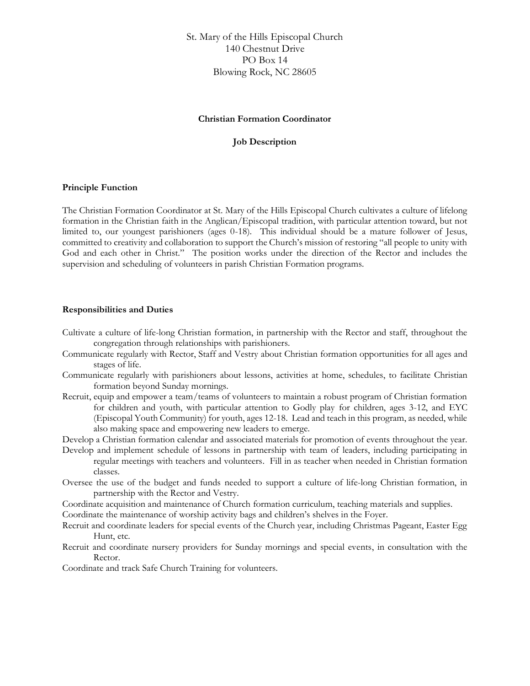St. Mary of the Hills Episcopal Church 140 Chestnut Drive PO Box 14 Blowing Rock, NC 28605

# **Christian Formation Coordinator**

## **Job Description**

#### **Principle Function**

The Christian Formation Coordinator at St. Mary of the Hills Episcopal Church cultivates a culture of lifelong formation in the Christian faith in the Anglican/Episcopal tradition, with particular attention toward, but not limited to, our youngest parishioners (ages 0-18). This individual should be a mature follower of Jesus, committed to creativity and collaboration to support the Church's mission of restoring "all people to unity with God and each other in Christ." The position works under the direction of the Rector and includes the supervision and scheduling of volunteers in parish Christian Formation programs.

# **Responsibilities and Duties**

- Cultivate a culture of life-long Christian formation, in partnership with the Rector and staff, throughout the congregation through relationships with parishioners.
- Communicate regularly with Rector, Staff and Vestry about Christian formation opportunities for all ages and stages of life.
- Communicate regularly with parishioners about lessons, activities at home, schedules, to facilitate Christian formation beyond Sunday mornings.
- Recruit, equip and empower a team/teams of volunteers to maintain a robust program of Christian formation for children and youth, with particular attention to Godly play for children, ages 3-12, and EYC (Episcopal Youth Community) for youth, ages 12-18. Lead and teach in this program, as needed, while also making space and empowering new leaders to emerge.
- Develop a Christian formation calendar and associated materials for promotion of events throughout the year.
- Develop and implement schedule of lessons in partnership with team of leaders, including participating in regular meetings with teachers and volunteers. Fill in as teacher when needed in Christian formation classes.
- Oversee the use of the budget and funds needed to support a culture of life-long Christian formation, in partnership with the Rector and Vestry.
- Coordinate acquisition and maintenance of Church formation curriculum, teaching materials and supplies.

Coordinate the maintenance of worship activity bags and children's shelves in the Foyer.

- Recruit and coordinate leaders for special events of the Church year, including Christmas Pageant, Easter Egg Hunt, etc.
- Recruit and coordinate nursery providers for Sunday mornings and special events, in consultation with the Rector.

Coordinate and track Safe Church Training for volunteers.